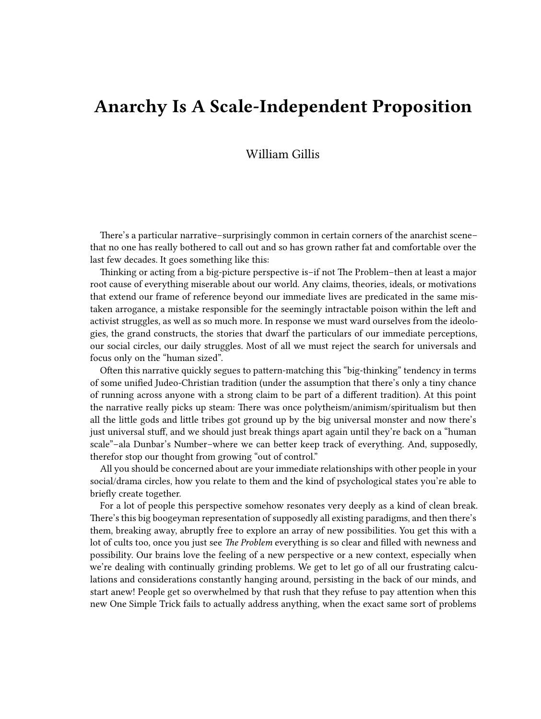## **Anarchy Is A Scale-Independent Proposition**

## William Gillis

There's a particular narrative–surprisingly common in certain corners of the anarchist scene– that no one has really bothered to call out and so has grown rather fat and comfortable over the last few decades. It goes something like this:

Thinking or acting from a big-picture perspective is–if not The Problem–then at least a major root cause of everything miserable about our world. Any claims, theories, ideals, or motivations that extend our frame of reference beyond our immediate lives are predicated in the same mistaken arrogance, a mistake responsible for the seemingly intractable poison within the left and activist struggles, as well as so much more. In response we must ward ourselves from the ideologies, the grand constructs, the stories that dwarf the particulars of our immediate perceptions, our social circles, our daily struggles. Most of all we must reject the search for universals and focus only on the "human sized".

Often this narrative quickly segues to pattern-matching this "big-thinking" tendency in terms of some unified Judeo-Christian tradition (under the assumption that there's only a tiny chance of running across anyone with a strong claim to be part of a different tradition). At this point the narrative really picks up steam: There was once polytheism/animism/spiritualism but then all the little gods and little tribes got ground up by the big universal monster and now there's just universal stuff, and we should just break things apart again until they're back on a "human scale"–ala Dunbar's Number–where we can better keep track of everything. And, supposedly, therefor stop our thought from growing "out of control."

All you should be concerned about are your immediate relationships with other people in your social/drama circles, how you relate to them and the kind of psychological states you're able to briefly create together.

For a lot of people this perspective somehow resonates very deeply as a kind of clean break. There's this big boogeyman representation of supposedly all existing paradigms, and then there's them, breaking away, abruptly free to explore an array of new possibilities. You get this with a lot of cults too, once you just see *The Problem* everything is so clear and filled with newness and possibility. Our brains love the feeling of a new perspective or a new context, especially when we're dealing with continually grinding problems. We get to let go of all our frustrating calculations and considerations constantly hanging around, persisting in the back of our minds, and start anew! People get so overwhelmed by that rush that they refuse to pay attention when this new One Simple Trick fails to actually address anything, when the exact same sort of problems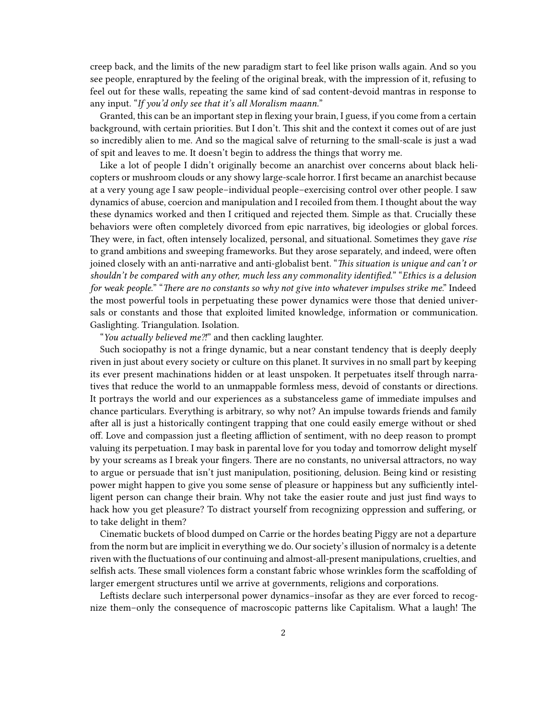creep back, and the limits of the new paradigm start to feel like prison walls again. And so you see people, enraptured by the feeling of the original break, with the impression of it, refusing to feel out for these walls, repeating the same kind of sad content-devoid mantras in response to any input. "*If you'd only see that it's all Moralism maann.*"

Granted, this can be an important step in flexing your brain, I guess, if you come from a certain background, with certain priorities. But I don't. This shit and the context it comes out of are just so incredibly alien to me. And so the magical salve of returning to the small-scale is just a wad of spit and leaves to me. It doesn't begin to address the things that worry me.

Like a lot of people I didn't originally become an anarchist over concerns about black helicopters or mushroom clouds or any showy large-scale horror. I first became an anarchist because at a very young age I saw people–individual people–exercising control over other people. I saw dynamics of abuse, coercion and manipulation and I recoiled from them. I thought about the way these dynamics worked and then I critiqued and rejected them. Simple as that. Crucially these behaviors were often completely divorced from epic narratives, big ideologies or global forces. They were, in fact, often intensely localized, personal, and situational. Sometimes they gave *rise* to grand ambitions and sweeping frameworks. But they arose separately, and indeed, were often joined closely with an anti-narrative and anti-globalist bent. "*This situation is unique and can't or shouldn't be compared with any other, much less any commonality identified.*" "*Ethics is a delusion for weak people.*" "*There are no constants so why not give into whatever impulses strike me*." Indeed the most powerful tools in perpetuating these power dynamics were those that denied universals or constants and those that exploited limited knowledge, information or communication. Gaslighting. Triangulation. Isolation.

"*You actually believed me⁈*" and then cackling laughter.

Such sociopathy is not a fringe dynamic, but a near constant tendency that is deeply deeply riven in just about every society or culture on this planet. It survives in no small part by keeping its ever present machinations hidden or at least unspoken. It perpetuates itself through narratives that reduce the world to an unmappable formless mess, devoid of constants or directions. It portrays the world and our experiences as a substanceless game of immediate impulses and chance particulars. Everything is arbitrary, so why not? An impulse towards friends and family after all is just a historically contingent trapping that one could easily emerge without or shed off. Love and compassion just a fleeting affliction of sentiment, with no deep reason to prompt valuing its perpetuation. I may bask in parental love for you today and tomorrow delight myself by your screams as I break your fingers. There are no constants, no universal attractors, no way to argue or persuade that isn't just manipulation, positioning, delusion. Being kind or resisting power might happen to give you some sense of pleasure or happiness but any sufficiently intelligent person can change their brain. Why not take the easier route and just just find ways to hack how you get pleasure? To distract yourself from recognizing oppression and suffering, or to take delight in them?

Cinematic buckets of blood dumped on Carrie or the hordes beating Piggy are not a departure from the norm but are implicit in everything we do. Our society's illusion of normalcy is a detente riven with the fluctuations of our continuing and almost-all-present manipulations, cruelties, and selfish acts. These small violences form a constant fabric whose wrinkles form the scaffolding of larger emergent structures until we arrive at governments, religions and corporations.

Leftists declare such interpersonal power dynamics–insofar as they are ever forced to recognize them–only the consequence of macroscopic patterns like Capitalism. What a laugh! The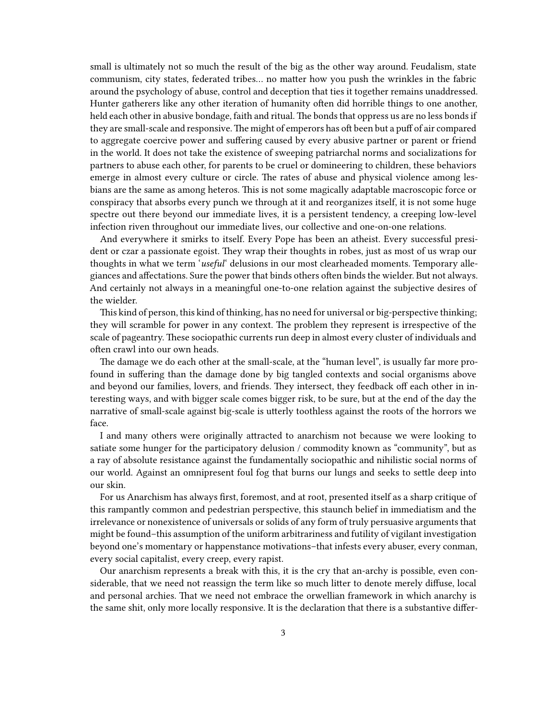small is ultimately not so much the result of the big as the other way around. Feudalism, state communism, city states, federated tribes… no matter how you push the wrinkles in the fabric around the psychology of abuse, control and deception that ties it together remains unaddressed. Hunter gatherers like any other iteration of humanity often did horrible things to one another, held each other in abusive bondage, faith and ritual. The bonds that oppress us are no less bonds if they are small-scale and responsive.The might of emperors has oft been but a puff of air compared to aggregate coercive power and suffering caused by every abusive partner or parent or friend in the world. It does not take the existence of sweeping patriarchal norms and socializations for partners to abuse each other, for parents to be cruel or domineering to children, these behaviors emerge in almost every culture or circle. The rates of abuse and physical violence among lesbians are the same as among heteros. This is not some magically adaptable macroscopic force or conspiracy that absorbs every punch we through at it and reorganizes itself, it is not some huge spectre out there beyond our immediate lives, it is a persistent tendency, a creeping low-level infection riven throughout our immediate lives, our collective and one-on-one relations.

And everywhere it smirks to itself. Every Pope has been an atheist. Every successful president or czar a passionate egoist. They wrap their thoughts in robes, just as most of us wrap our thoughts in what we term '*useful*' delusions in our most clearheaded moments. Temporary allegiances and affectations. Sure the power that binds others often binds the wielder. But not always. And certainly not always in a meaningful one-to-one relation against the subjective desires of the wielder.

This kind of person, this kind of thinking, has no need for universal or big-perspective thinking; they will scramble for power in any context. The problem they represent is irrespective of the scale of pageantry. These sociopathic currents run deep in almost every cluster of individuals and often crawl into our own heads.

The damage we do each other at the small-scale, at the "human level", is usually far more profound in suffering than the damage done by big tangled contexts and social organisms above and beyond our families, lovers, and friends. They intersect, they feedback off each other in interesting ways, and with bigger scale comes bigger risk, to be sure, but at the end of the day the narrative of small-scale against big-scale is utterly toothless against the roots of the horrors we face.

I and many others were originally attracted to anarchism not because we were looking to satiate some hunger for the participatory delusion / commodity known as "community", but as a ray of absolute resistance against the fundamentally sociopathic and nihilistic social norms of our world. Against an omnipresent foul fog that burns our lungs and seeks to settle deep into our skin.

For us Anarchism has always first, foremost, and at root, presented itself as a sharp critique of this rampantly common and pedestrian perspective, this staunch belief in immediatism and the irrelevance or nonexistence of universals or solids of any form of truly persuasive arguments that might be found–this assumption of the uniform arbitrariness and futility of vigilant investigation beyond one's momentary or happenstance motivations–that infests every abuser, every conman, every social capitalist, every creep, every rapist.

Our anarchism represents a break with this, it is the cry that an-archy is possible, even considerable, that we need not reassign the term like so much litter to denote merely diffuse, local and personal archies. That we need not embrace the orwellian framework in which anarchy is the same shit, only more locally responsive. It is the declaration that there is a substantive differ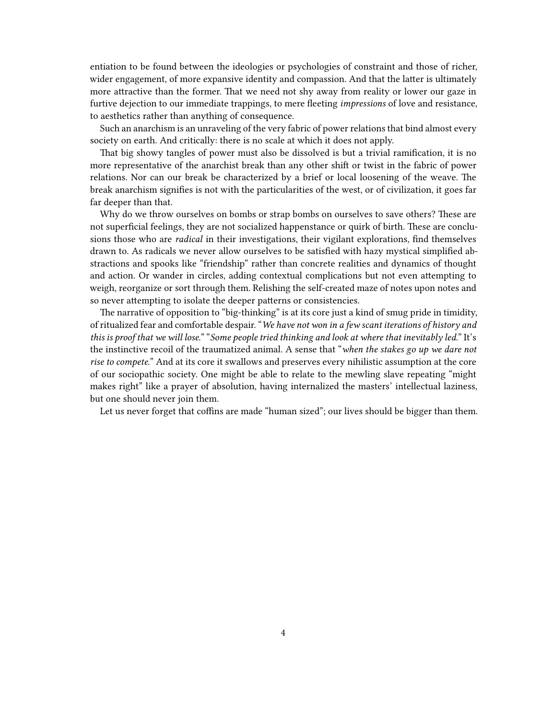entiation to be found between the ideologies or psychologies of constraint and those of richer, wider engagement, of more expansive identity and compassion. And that the latter is ultimately more attractive than the former. That we need not shy away from reality or lower our gaze in furtive dejection to our immediate trappings, to mere fleeting *impressions* of love and resistance, to aesthetics rather than anything of consequence.

Such an anarchism is an unraveling of the very fabric of power relations that bind almost every society on earth. And critically: there is no scale at which it does not apply.

That big showy tangles of power must also be dissolved is but a trivial ramification, it is no more representative of the anarchist break than any other shift or twist in the fabric of power relations. Nor can our break be characterized by a brief or local loosening of the weave. The break anarchism signifies is not with the particularities of the west, or of civilization, it goes far far deeper than that.

Why do we throw ourselves on bombs or strap bombs on ourselves to save others? These are not superficial feelings, they are not socialized happenstance or quirk of birth. These are conclusions those who are *radical* in their investigations, their vigilant explorations, find themselves drawn to. As radicals we never allow ourselves to be satisfied with hazy mystical simplified abstractions and spooks like "friendship" rather than concrete realities and dynamics of thought and action. Or wander in circles, adding contextual complications but not even attempting to weigh, reorganize or sort through them. Relishing the self-created maze of notes upon notes and so never attempting to isolate the deeper patterns or consistencies.

The narrative of opposition to "big-thinking" is at its core just a kind of smug pride in timidity, of ritualized fear and comfortable despair. "*We have not won in a few scant iterations of history and this is proof that we will lose.*" "*Some people tried thinking and look at where that inevitably led.*" It's the instinctive recoil of the traumatized animal. A sense that "*when the stakes go up we dare not rise to compete.*" And at its core it swallows and preserves every nihilistic assumption at the core of our sociopathic society. One might be able to relate to the mewling slave repeating "might makes right" like a prayer of absolution, having internalized the masters' intellectual laziness, but one should never join them.

Let us never forget that coffins are made "human sized"; our lives should be bigger than them.